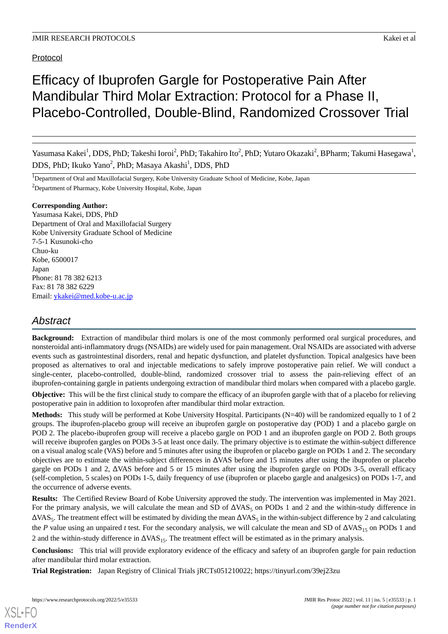Protocol

# Efficacy of Ibuprofen Gargle for Postoperative Pain After Mandibular Third Molar Extraction: Protocol for a Phase II, Placebo-Controlled, Double-Blind, Randomized Crossover Trial

Yasumasa Kakei<sup>1</sup>, DDS, PhD; Takeshi Ioroi<sup>2</sup>, PhD; Takahiro Ito<sup>2</sup>, PhD; Yutaro Okazaki<sup>2</sup>, BPharm; Takumi Hasegawa<sup>1</sup>, DDS, PhD; Ikuko Yano<sup>2</sup>, PhD; Masaya Akashi<sup>1</sup>, DDS, PhD

<sup>1</sup>Department of Oral and Maxillofacial Surgery, Kobe University Graduate School of Medicine, Kobe, Japan <sup>2</sup>Department of Pharmacy, Kobe University Hospital, Kobe, Japan

#### **Corresponding Author:**

Yasumasa Kakei, DDS, PhD Department of Oral and Maxillofacial Surgery Kobe University Graduate School of Medicine 7-5-1 Kusunoki-cho Chuo-ku Kobe, 6500017 Japan Phone: 81 78 382 6213 Fax: 81 78 382 6229 Email: [ykakei@med.kobe-u.ac.jp](mailto:ykakei@med.kobe-u.ac.jp)

## *Abstract*

**Background:** Extraction of mandibular third molars is one of the most commonly performed oral surgical procedures, and nonsteroidal anti-inflammatory drugs (NSAIDs) are widely used for pain management. Oral NSAIDs are associated with adverse events such as gastrointestinal disorders, renal and hepatic dysfunction, and platelet dysfunction. Topical analgesics have been proposed as alternatives to oral and injectable medications to safely improve postoperative pain relief. We will conduct a single-center, placebo-controlled, double-blind, randomized crossover trial to assess the pain-relieving effect of an ibuprofen-containing gargle in patients undergoing extraction of mandibular third molars when compared with a placebo gargle.

**Objective:** This will be the first clinical study to compare the efficacy of an ibuprofen gargle with that of a placebo for relieving postoperative pain in addition to loxoprofen after mandibular third molar extraction.

**Methods:** This study will be performed at Kobe University Hospital. Participants (N=40) will be randomized equally to 1 of 2 groups. The ibuprofen-placebo group will receive an ibuprofen gargle on postoperative day (POD) 1 and a placebo gargle on POD 2. The placebo-ibuprofen group will receive a placebo gargle on POD 1 and an ibuprofen gargle on POD 2. Both groups will receive ibuprofen gargles on PODs 3-5 at least once daily. The primary objective is to estimate the within-subject difference on a visual analog scale (VAS) before and 5 minutes after using the ibuprofen or placebo gargle on PODs 1 and 2. The secondary objectives are to estimate the within-subject differences in ΔVAS before and 15 minutes after using the ibuprofen or placebo gargle on PODs 1 and 2, ΔVAS before and 5 or 15 minutes after using the ibuprofen gargle on PODs 3-5, overall efficacy (self-completion, 5 scales) on PODs 1-5, daily frequency of use (ibuprofen or placebo gargle and analgesics) on PODs 1-7, and the occurrence of adverse events.

**Results:** The Certified Review Board of Kobe University approved the study. The intervention was implemented in May 2021. For the primary analysis, we will calculate the mean and SD of  $\Delta VAS_5$  on PODs 1 and 2 and the within-study difference in  $\Delta$ VAS<sub>5</sub>. The treatment effect will be estimated by dividing the mean  $\Delta$ VAS<sub>5</sub> in the within-subject difference by 2 and calculating the *P* value using an unpaired *t* test. For the secondary analysis, we will calculate the mean and SD of  $\Delta VAS_{15}$  on PODs 1 and 2 and the within-study difference in  $\Delta VAS_{15}$ . The treatment effect will be estimated as in the primary analysis.

**Conclusions:** This trial will provide exploratory evidence of the efficacy and safety of an ibuprofen gargle for pain reduction after mandibular third molar extraction.

**Trial Registration:** Japan Registry of Clinical Trials jRCTs051210022; https://tinyurl.com/39ej23zu

[XSL](http://www.w3.org/Style/XSL)•FO **[RenderX](http://www.renderx.com/)**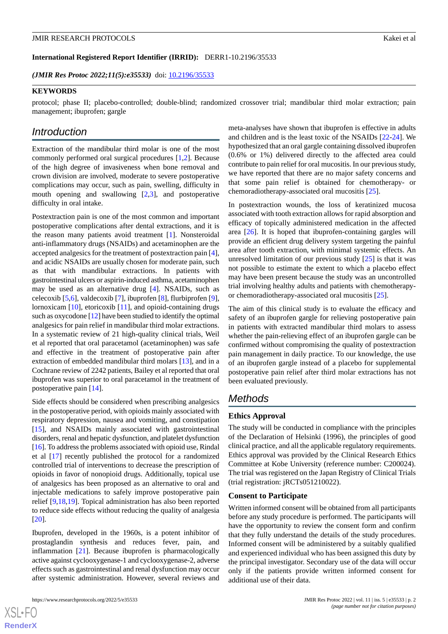#### **International Registered Report Identifier (IRRID):** DERR1-10.2196/35533

*(JMIR Res Protoc 2022;11(5):e35533)* doi: [10.2196/35533](http://dx.doi.org/10.2196/35533)

#### **KEYWORDS**

protocol; phase II; placebo-controlled; double-blind; randomized crossover trial; mandibular third molar extraction; pain management; ibuprofen; gargle

## *Introduction*

Extraction of the mandibular third molar is one of the most commonly performed oral surgical procedures [[1](#page-7-0)[,2](#page-7-1)]. Because of the high degree of invasiveness when bone removal and crown division are involved, moderate to severe postoperative complications may occur, such as pain, swelling, difficulty in mouth opening and swallowing [[2](#page-7-1)[,3](#page-7-2)], and postoperative difficulty in oral intake.

Postextraction pain is one of the most common and important postoperative complications after dental extractions, and it is the reason many patients avoid treatment [\[1\]](#page-7-0). Nonsteroidal anti-inflammatory drugs (NSAIDs) and acetaminophen are the accepted analgesics for the treatment of postextraction pain [[4\]](#page-7-3), and acidic NSAIDs are usually chosen for moderate pain, such as that with mandibular extractions. In patients with gastrointestinal ulcers or aspirin-induced asthma, acetaminophen may be used as an alternative drug [[4\]](#page-7-3). NSAIDs, such as celecoxib [\[5,](#page-7-4)[6\]](#page-7-5), valdecoxib [\[7](#page-7-6)], ibuprofen [[8\]](#page-7-7), flurbiprofen [[9\]](#page-7-8), lornoxicam [\[10](#page-7-9)], etoricoxib [[11\]](#page-7-10), and opioid-containing drugs such as oxycodone [[12](#page-7-11)] have been studied to identify the optimal analgesics for pain relief in mandibular third molar extractions. In a systematic review of 21 high-quality clinical trials, Weil et al reported that oral paracetamol (acetaminophen) was safe and effective in the treatment of postoperative pain after extraction of embedded mandibular third molars [[13\]](#page-8-0), and in a Cochrane review of 2242 patients, Bailey et al reported that oral ibuprofen was superior to oral paracetamol in the treatment of postoperative pain [[14\]](#page-8-1).

Side effects should be considered when prescribing analgesics in the postoperative period, with opioids mainly associated with respiratory depression, nausea and vomiting, and constipation [[15\]](#page-8-2), and NSAIDs mainly associated with gastrointestinal disorders, renal and hepatic dysfunction, and platelet dysfunction [[16\]](#page-8-3). To address the problems associated with opioid use, Rindal et al [[17\]](#page-8-4) recently published the protocol for a randomized controlled trial of interventions to decrease the prescription of opioids in favor of nonopioid drugs. Additionally, topical use of analgesics has been proposed as an alternative to oral and injectable medications to safely improve postoperative pain relief [[9](#page-7-8)[,18](#page-8-5),[19\]](#page-8-6). Topical administration has also been reported to reduce side effects without reducing the quality of analgesia [[20\]](#page-8-7).

Ibuprofen, developed in the 1960s, is a potent inhibitor of prostaglandin synthesis and reduces fever, pain, and inflammation [\[21](#page-8-8)]. Because ibuprofen is pharmacologically active against cyclooxygenase-1 and cyclooxygenase-2, adverse effects such as gastrointestinal and renal dysfunction may occur after systemic administration. However, several reviews and

[XSL](http://www.w3.org/Style/XSL)•FO **[RenderX](http://www.renderx.com/)**

meta-analyses have shown that ibuprofen is effective in adults and children and is the least toxic of the NSAIDs [[22-](#page-8-9)[24](#page-8-10)]. We hypothesized that an oral gargle containing dissolved ibuprofen (0.6% or 1%) delivered directly to the affected area could contribute to pain relief for oral mucositis. In our previous study, we have reported that there are no major safety concerns and that some pain relief is obtained for chemotherapy- or chemoradiotherapy-associated oral mucositis [[25\]](#page-8-11).

In postextraction wounds, the loss of keratinized mucosa associated with tooth extraction allows for rapid absorption and efficacy of topically administered medication in the affected area [[26\]](#page-8-12). It is hoped that ibuprofen-containing gargles will provide an efficient drug delivery system targeting the painful area after tooth extraction, with minimal systemic effects. An unresolved limitation of our previous study  $[25]$  $[25]$  is that it was not possible to estimate the extent to which a placebo effect may have been present because the study was an uncontrolled trial involving healthy adults and patients with chemotherapyor chemoradiotherapy-associated oral mucositis [[25\]](#page-8-11).

The aim of this clinical study is to evaluate the efficacy and safety of an ibuprofen gargle for relieving postoperative pain in patients with extracted mandibular third molars to assess whether the pain-relieving effect of an ibuprofen gargle can be confirmed without compromising the quality of postextraction pain management in daily practice. To our knowledge, the use of an ibuprofen gargle instead of a placebo for supplemental postoperative pain relief after third molar extractions has not been evaluated previously.

## *Methods*

#### **Ethics Approval**

The study will be conducted in compliance with the principles of the Declaration of Helsinki (1996), the principles of good clinical practice, and all the applicable regulatory requirements. Ethics approval was provided by the Clinical Research Ethics Committee at Kobe University (reference number: C200024). The trial was registered on the Japan Registry of Clinical Trials (trial registration: jRCTs051210022).

#### **Consent to Participate**

Written informed consent will be obtained from all participants before any study procedure is performed. The participants will have the opportunity to review the consent form and confirm that they fully understand the details of the study procedures. Informed consent will be administered by a suitably qualified and experienced individual who has been assigned this duty by the principal investigator. Secondary use of the data will occur only if the patients provide written informed consent for additional use of their data.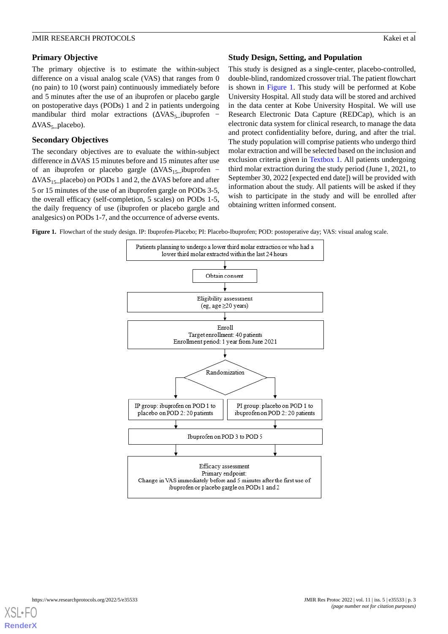## **Primary Objective**

The primary objective is to estimate the within-subject difference on a visual analog scale (VAS) that ranges from 0 (no pain) to 10 (worst pain) continuously immediately before and 5 minutes after the use of an ibuprofen or placebo gargle on postoperative days (PODs) 1 and 2 in patients undergoing mandibular third molar extractions  $(\Delta VAS_5)$  ibuprofen −  $\Delta VAS_5$  placebo).

## **Secondary Objectives**

The secondary objectives are to evaluate the within-subject difference in ΔVAS 15 minutes before and 15 minutes after use of an ibuprofen or placebo gargle  $(\Delta VAS_{15})$ ibuprofen −  $\Delta$ VAS<sub>15</sub>\_placebo) on PODs 1 and 2, the  $\Delta$ VAS before and after 5 or 15 minutes of the use of an ibuprofen gargle on PODs 3-5, the overall efficacy (self-completion, 5 scales) on PODs 1-5, the daily frequency of use (ibuprofen or placebo gargle and analgesics) on PODs 1-7, and the occurrence of adverse events.

## **Study Design, Setting, and Population**

This study is designed as a single-center, placebo-controlled, double-blind, randomized crossover trial. The patient flowchart is shown in [Figure 1.](#page-2-0) This study will be performed at Kobe University Hospital. All study data will be stored and archived in the data center at Kobe University Hospital. We will use Research Electronic Data Capture (REDCap), which is an electronic data system for clinical research, to manage the data and protect confidentiality before, during, and after the trial. The study population will comprise patients who undergo third molar extraction and will be selected based on the inclusion and exclusion criteria given in [Textbox 1](#page-3-0). All patients undergoing third molar extraction during the study period (June 1, 2021, to September 30, 2022 [expected end date]) will be provided with information about the study. All patients will be asked if they wish to participate in the study and will be enrolled after obtaining written informed consent.

<span id="page-2-0"></span>**Figure 1.** Flowchart of the study design. IP: Ibuprofen-Placebo; PI: Placebo-Ibuprofen; POD: postoperative day; VAS: visual analog scale.



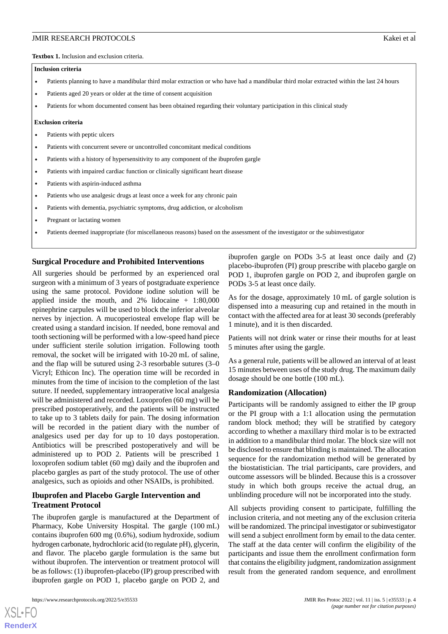#### <span id="page-3-0"></span>**Inclusion criteria**

- Patients planning to have a mandibular third molar extraction or who have had a mandibular third molar extracted within the last 24 hours
- Patients aged 20 years or older at the time of consent acquisition
- Patients for whom documented consent has been obtained regarding their voluntary participation in this clinical study

#### **Exclusion criteria**

- Patients with peptic ulcers
- Patients with concurrent severe or uncontrolled concomitant medical conditions
- Patients with a history of hypersensitivity to any component of the ibuprofen gargle
- Patients with impaired cardiac function or clinically significant heart disease
- Patients with aspirin-induced asthma
- Patients who use analgesic drugs at least once a week for any chronic pain
- Patients with dementia, psychiatric symptoms, drug addiction, or alcoholism
- Pregnant or lactating women
- Patients deemed inappropriate (for miscellaneous reasons) based on the assessment of the investigator or the subinvestigator

#### **Surgical Procedure and Prohibited Interventions**

All surgeries should be performed by an experienced oral surgeon with a minimum of 3 years of postgraduate experience using the same protocol. Povidone iodine solution will be applied inside the mouth, and 2% lidocaine + 1:80,000 epinephrine carpules will be used to block the inferior alveolar nerves by injection. A mucoperiosteal envelope flap will be created using a standard incision. If needed, bone removal and tooth sectioning will be performed with a low-speed hand piece under sufficient sterile solution irrigation. Following tooth removal, the socket will be irrigated with 10-20 mL of saline, and the flap will be sutured using 2-3 resorbable sutures (3–0 Vicryl; Ethicon Inc). The operation time will be recorded in minutes from the time of incision to the completion of the last suture. If needed, supplementary intraoperative local analgesia will be administered and recorded. Loxoprofen (60 mg) will be prescribed postoperatively, and the patients will be instructed to take up to 3 tablets daily for pain. The dosing information will be recorded in the patient diary with the number of analgesics used per day for up to 10 days postoperation. Antibiotics will be prescribed postoperatively and will be administered up to POD 2. Patients will be prescribed 1 loxoprofen sodium tablet (60 mg) daily and the ibuprofen and placebo gargles as part of the study protocol. The use of other analgesics, such as opioids and other NSAIDs, is prohibited.

## **Ibuprofen and Placebo Gargle Intervention and Treatment Protocol**

The ibuprofen gargle is manufactured at the Department of Pharmacy, Kobe University Hospital. The gargle (100 mL) contains ibuprofen 600 mg (0.6%), sodium hydroxide, sodium hydrogen carbonate, hydrochloric acid (to regulate pH), glycerin, and flavor. The placebo gargle formulation is the same but without ibuprofen. The intervention or treatment protocol will be as follows: (1) ibuprofen-placebo (IP) group prescribed with ibuprofen gargle on POD 1, placebo gargle on POD 2, and

[XSL](http://www.w3.org/Style/XSL)•FO **[RenderX](http://www.renderx.com/)**

ibuprofen gargle on PODs 3-5 at least once daily and (2) placebo-ibuprofen (PI) group prescribe with placebo gargle on POD 1, ibuprofen gargle on POD 2, and ibuprofen gargle on PODs 3-5 at least once daily.

As for the dosage, approximately 10 mL of gargle solution is dispensed into a measuring cup and retained in the mouth in contact with the affected area for at least 30 seconds (preferably 1 minute), and it is then discarded.

Patients will not drink water or rinse their mouths for at least 5 minutes after using the gargle.

As a general rule, patients will be allowed an interval of at least 15 minutes between uses of the study drug. The maximum daily dosage should be one bottle (100 mL).

#### **Randomization (Allocation)**

Participants will be randomly assigned to either the IP group or the PI group with a 1:1 allocation using the permutation random block method; they will be stratified by category according to whether a maxillary third molar is to be extracted in addition to a mandibular third molar. The block size will not be disclosed to ensure that blinding is maintained. The allocation sequence for the randomization method will be generated by the biostatistician. The trial participants, care providers, and outcome assessors will be blinded. Because this is a crossover study in which both groups receive the actual drug, an unblinding procedure will not be incorporated into the study.

All subjects providing consent to participate, fulfilling the inclusion criteria, and not meeting any of the exclusion criteria will be randomized. The principal investigator or subinvestigator will send a subject enrollment form by email to the data center. The staff at the data center will confirm the eligibility of the participants and issue them the enrollment confirmation form that contains the eligibility judgment, randomization assignment result from the generated random sequence, and enrollment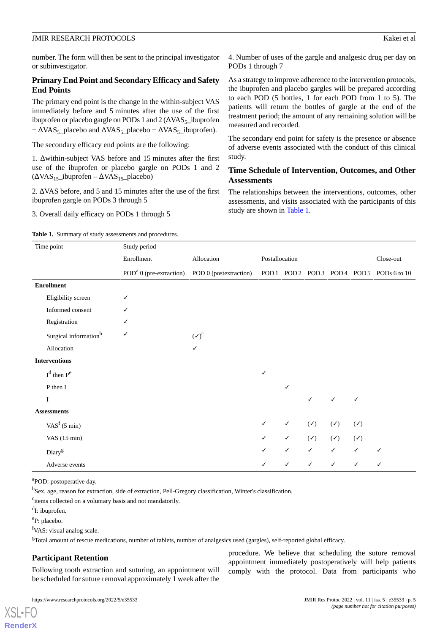number. The form will then be sent to the principal investigator or subinvestigator.

#### **Primary End Point and Secondary Efficacy and Safety End Points**

The primary end point is the change in the within-subject VAS immediately before and 5 minutes after the use of the first ibuprofen or placebo gargle on PODs 1 and  $2 \left( \Delta \text{VAS}_{5} \right)$  ibuprofen  $-\Delta VAS_5$ \_placebo and  $\Delta VAS_5$ \_placebo –  $\Delta VAS_5$ \_ibuprofen).

The secondary efficacy end points are the following:

1. Δwithin-subject VAS before and 15 minutes after the first use of the ibuprofen or placebo gargle on PODs 1 and 2  $(\Delta VAS_{15}$ \_ibuprofen –  $\Delta VAS_{15}$ \_placebo)

2. ΔVAS before, and 5 and 15 minutes after the use of the first ibuprofen gargle on PODs 3 through 5

<span id="page-4-0"></span>3. Overall daily efficacy on PODs 1 through 5

4. Number of uses of the gargle and analgesic drug per day on PODs 1 through 7

As a strategy to improve adherence to the intervention protocols, the ibuprofen and placebo gargles will be prepared according to each POD (5 bottles, 1 for each POD from 1 to 5). The patients will return the bottles of gargle at the end of the treatment period; the amount of any remaining solution will be measured and recorded.

The secondary end point for safety is the presence or absence of adverse events associated with the conduct of this clinical study.

## **Time Schedule of Intervention, Outcomes, and Other Assessments**

The relationships between the interventions, outcomes, other assessments, and visits associated with the participants of this study are shown in [Table 1.](#page-4-0)

| <b>Table 1.</b> Summary of study assessments and procedures. |  |
|--------------------------------------------------------------|--|
|                                                              |  |

| Time point                            | Study period                                               |                  |                |              |                |                |                |                                       |  |
|---------------------------------------|------------------------------------------------------------|------------------|----------------|--------------|----------------|----------------|----------------|---------------------------------------|--|
|                                       | Enrollment                                                 | Allocation       | Postallocation |              |                | Close-out      |                |                                       |  |
|                                       | POD <sup>a</sup> 0 (pre-extraction) POD 0 (postextraction) |                  |                |              |                |                |                | POD1 POD2 POD3 POD4 POD5 PODs 6 to 10 |  |
| <b>Enrollment</b>                     |                                                            |                  |                |              |                |                |                |                                       |  |
| Eligibility screen                    |                                                            |                  |                |              |                |                |                |                                       |  |
| Informed consent                      |                                                            |                  |                |              |                |                |                |                                       |  |
| Registration                          |                                                            |                  |                |              |                |                |                |                                       |  |
| Surgical information <sup>b</sup>     | ✓                                                          | $(\checkmark)^c$ |                |              |                |                |                |                                       |  |
| Allocation                            |                                                            | ✓                |                |              |                |                |                |                                       |  |
| <b>Interventions</b>                  |                                                            |                  |                |              |                |                |                |                                       |  |
| $Id$ then $Pe$                        |                                                            |                  | ✓              |              |                |                |                |                                       |  |
| P then I                              |                                                            |                  |                | ✓            |                |                |                |                                       |  |
| $\bf I$                               |                                                            |                  |                |              | ✓              | ✓              |                |                                       |  |
| <b>Assessments</b>                    |                                                            |                  |                |              |                |                |                |                                       |  |
| VAS <sup><math>f</math></sup> (5 min) |                                                            |                  | ✓              | ✓            | $(\checkmark)$ | $(\checkmark)$ | $(\checkmark)$ |                                       |  |
| VAS $(15 \text{ min})$                |                                                            |                  | ✓              | $\checkmark$ | $(\checkmark)$ | $(\checkmark)$ | $(\checkmark)$ |                                       |  |
| Diary <sup>g</sup>                    |                                                            |                  | ✓              | $\checkmark$ | $\checkmark$   | $\checkmark$   | $\checkmark$   | ✓                                     |  |
| Adverse events                        |                                                            |                  | ✓              | ✓            | $\checkmark$   | $\checkmark$   | $\checkmark$   |                                       |  |

<sup>a</sup>POD: postoperative day.

b Sex, age, reason for extraction, side of extraction, Pell-Gregory classification, Winter's classification.

<sup>c</sup>items collected on a voluntary basis and not mandatorily.

<sup>d</sup>I: ibuprofen.

e P: placebo.

[XSL](http://www.w3.org/Style/XSL)•FO **[RenderX](http://www.renderx.com/)**

<sup>f</sup>VAS: visual analog scale.

<sup>g</sup>Total amount of rescue medications, number of tablets, number of analgesics used (gargles), self-reported global efficacy.

## **Participant Retention**

Following tooth extraction and suturing, an appointment will be scheduled for suture removal approximately 1 week after the

procedure. We believe that scheduling the suture removal appointment immediately postoperatively will help patients comply with the protocol. Data from participants who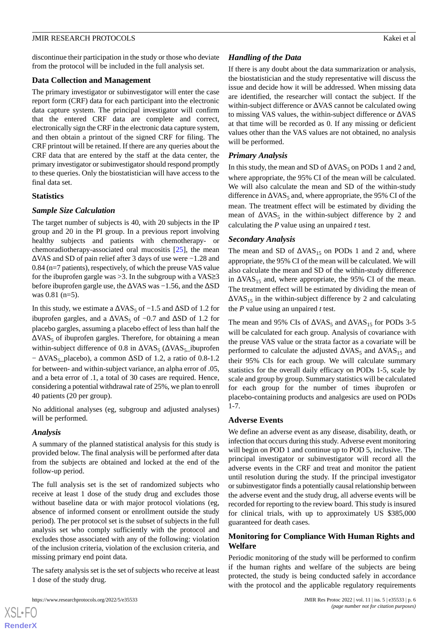discontinue their participation in the study or those who deviate from the protocol will be included in the full analysis set.

#### **Data Collection and Management**

The primary investigator or subinvestigator will enter the case report form (CRF) data for each participant into the electronic data capture system. The principal investigator will confirm that the entered CRF data are complete and correct, electronically sign the CRF in the electronic data capture system, and then obtain a printout of the signed CRF for filing. The CRF printout will be retained. If there are any queries about the CRF data that are entered by the staff at the data center, the primary investigator or subinvestigator should respond promptly to these queries. Only the biostatistician will have access to the final data set.

## **Statistics**

## *Sample Size Calculation*

The target number of subjects is 40, with 20 subjects in the IP group and 20 in the PI group. In a previous report involving healthy subjects and patients with chemotherapy- or chemoradiotherapy-associated oral mucositis [[25\]](#page-8-11), the mean ΔVAS and SD of pain relief after 3 days of use were −1.28 and 0.84 (n=7 patients), respectively, of which the preuse VAS value for the ibuprofen gargle was  $>3$ . In the subgroup with a VAS $\geq$ 3 before ibuprofen gargle use, the ΔVAS was −1.56, and the ΔSD was 0.81 (n=5).

In this study, we estimate a  $\Delta VAS_5$  of  $-1.5$  and  $\Delta SD$  of 1.2 for ibuprofen gargles, and a  $\Delta VAS_5$  of  $-0.7$  and  $\Delta SD$  of 1.2 for placebo gargles, assuming a placebo effect of less than half the  $\Delta$ VAS<sub>5</sub> of ibuprofen gargles. Therefore, for obtaining a mean within-subject difference of 0.8 in  $\Delta \text{VAS}_5$  ( $\Delta \text{VAS}_5$  ibuprofen  $-\Delta VAS_5$ \_placebo), a common  $\Delta SD$  of 1.2, a ratio of 0.8-1.2 for between- and within-subject variance, an alpha error of .05, and a beta error of .1, a total of 30 cases are required. Hence, considering a potential withdrawal rate of 25%, we plan to enroll 40 patients (20 per group).

No additional analyses (eg, subgroup and adjusted analyses) will be performed.

## *Analysis*

 $XSI - F($ **[RenderX](http://www.renderx.com/)**

A summary of the planned statistical analysis for this study is provided below. The final analysis will be performed after data from the subjects are obtained and locked at the end of the follow-up period.

The full analysis set is the set of randomized subjects who receive at least 1 dose of the study drug and excludes those without baseline data or with major protocol violations (eg, absence of informed consent or enrollment outside the study period). The per protocol set is the subset of subjects in the full analysis set who comply sufficiently with the protocol and excludes those associated with any of the following: violation of the inclusion criteria, violation of the exclusion criteria, and missing primary end point data.

The safety analysis set is the set of subjects who receive at least 1 dose of the study drug.

## *Handling of the Data*

If there is any doubt about the data summarization or analysis, the biostatistician and the study representative will discuss the issue and decide how it will be addressed. When missing data are identified, the researcher will contact the subject. If the within-subject difference or ΔVAS cannot be calculated owing to missing VAS values, the within-subject difference or ΔVAS at that time will be recorded as 0. If any missing or deficient values other than the VAS values are not obtained, no analysis will be performed.

## *Primary Analysis*

In this study, the mean and SD of  $\Delta$ VAS<sub>5</sub> on PODs 1 and 2 and,where appropriate, the 95% CI of the mean will be calculated. We will also calculate the mean and SD of the within-study difference in  $\Delta \text{VAS}_5$  and, where appropriate, the 95% CI of the mean. The treatment effect will be estimated by dividing the mean of  $\Delta VAS_5$  in the within-subject difference by 2 and calculating the *P* value using an unpaired *t* test.

## *Secondary Analysis*

The mean and SD of  $\Delta VAS_{15}$  on PODs 1 and 2 and, where appropriate, the 95% CI of the mean will be calculated. We will also calculate the mean and SD of the within-study difference in  $\Delta VAS_{15}$  and, where appropriate, the 95% CI of the mean. The treatment effect will be estimated by dividing the mean of  $\Delta$ VAS<sub>15</sub> in the within-subject difference by 2 and calculatingthe *P* value using an unpaired *t* test.

The mean and 95% CIs of  $\triangle$ VAS<sub>5</sub> and  $\triangle$ VAS<sub>15</sub> for PODs 3-5 will be calculated for each group. Analysis of covariance with the preuse VAS value or the strata factor as a covariate will be performed to calculate the adjusted  $\Delta$  VAS<sub>5</sub> and  $\Delta$  VAS<sub>15</sub> andtheir 95% CIs for each group. We will calculate summary statistics for the overall daily efficacy on PODs 1-5, scale by scale and group by group. Summary statistics will be calculated for each group for the number of times ibuprofen or placebo-containing products and analgesics are used on PODs 1-7.

## **Adverse Events**

We define an adverse event as any disease, disability, death, or infection that occurs during this study. Adverse event monitoring will begin on POD 1 and continue up to POD 5, inclusive. The principal investigator or subinvestigator will record all the adverse events in the CRF and treat and monitor the patient until resolution during the study. If the principal investigator or subinvestigator finds a potentially causal relationship between the adverse event and the study drug, all adverse events will be recorded for reporting to the review board. This study is insured for clinical trials, with up to approximately US \$385,000 guaranteed for death cases.

## **Monitoring for Compliance With Human Rights and Welfare**

Periodic monitoring of the study will be performed to confirm if the human rights and welfare of the subjects are being protected, the study is being conducted safely in accordance with the protocol and the applicable regulatory requirements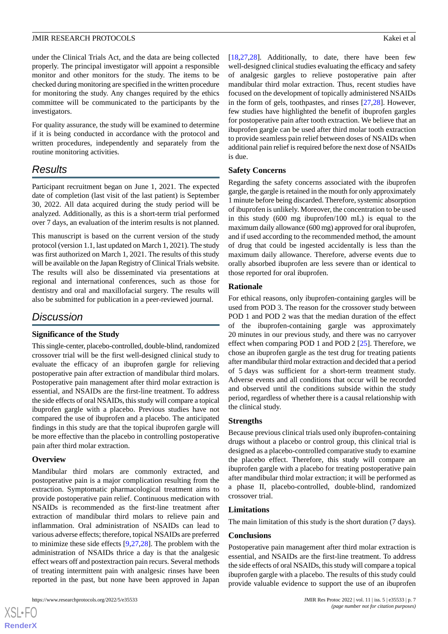under the Clinical Trials Act, and the data are being collected properly. The principal investigator will appoint a responsible monitor and other monitors for the study. The items to be checked during monitoring are specified in the written procedure for monitoring the study. Any changes required by the ethics committee will be communicated to the participants by the investigators.

For quality assurance, the study will be examined to determine if it is being conducted in accordance with the protocol and written procedures, independently and separately from the routine monitoring activities.

## *Results*

Participant recruitment began on June 1, 2021. The expected date of completion (last visit of the last patient) is September 30, 2022. All data acquired during the study period will be analyzed. Additionally, as this is a short-term trial performed over 7 days, an evaluation of the interim results is not planned.

This manuscript is based on the current version of the study protocol (version 1.1, last updated on March 1, 2021). The study was first authorized on March 1, 2021. The results of this study will be available on the Japan Registry of Clinical Trials website. The results will also be disseminated via presentations at regional and international conferences, such as those for dentistry and oral and maxillofacial surgery. The results will also be submitted for publication in a peer-reviewed journal.

## *Discussion*

#### **Significance of the Study**

This single-center, placebo-controlled, double-blind, randomized crossover trial will be the first well-designed clinical study to evaluate the efficacy of an ibuprofen gargle for relieving postoperative pain after extraction of mandibular third molars. Postoperative pain management after third molar extraction is essential, and NSAIDs are the first-line treatment. To address the side effects of oral NSAIDs, this study will compare a topical ibuprofen gargle with a placebo. Previous studies have not compared the use of ibuprofen and a placebo. The anticipated findings in this study are that the topical ibuprofen gargle will be more effective than the placebo in controlling postoperative pain after third molar extraction.

#### **Overview**

 $XS$ -FO **[RenderX](http://www.renderx.com/)**

Mandibular third molars are commonly extracted, and postoperative pain is a major complication resulting from the extraction. Symptomatic pharmacological treatment aims to provide postoperative pain relief. Continuous medication with NSAIDs is recommended as the first-line treatment after extraction of mandibular third molars to relieve pain and inflammation. Oral administration of NSAIDs can lead to various adverse effects; therefore, topical NSAIDs are preferred to minimize these side effects [[9](#page-7-8)[,27](#page-8-13),[28\]](#page-8-14). The problem with the administration of NSAIDs thrice a day is that the analgesic effect wears off and postextraction pain recurs. Several methods of treating intermittent pain with analgesic rinses have been reported in the past, but none have been approved in Japan

[[18,](#page-8-5)[27,](#page-8-13)[28\]](#page-8-14). Additionally, to date, there have been few well-designed clinical studies evaluating the efficacy and safety of analgesic gargles to relieve postoperative pain after mandibular third molar extraction. Thus, recent studies have focused on the development of topically administered NSAIDs in the form of gels, toothpastes, and rinses [\[27](#page-8-13),[28\]](#page-8-14). However, few studies have highlighted the benefit of ibuprofen gargles for postoperative pain after tooth extraction. We believe that an ibuprofen gargle can be used after third molar tooth extraction to provide seamless pain relief between doses of NSAIDs when additional pain relief is required before the next dose of NSAIDs is due.

#### **Safety Concerns**

Regarding the safety concerns associated with the ibuprofen gargle, the gargle is retained in the mouth for only approximately 1 minute before being discarded. Therefore, systemic absorption of ibuprofen is unlikely. Moreover, the concentration to be used in this study (600 mg ibuprofen/100 mL) is equal to the maximum daily allowance (600 mg) approved for oral ibuprofen, and if used according to the recommended method, the amount of drug that could be ingested accidentally is less than the maximum daily allowance. Therefore, adverse events due to orally absorbed ibuprofen are less severe than or identical to those reported for oral ibuprofen.

#### **Rationale**

For ethical reasons, only ibuprofen-containing gargles will be used from POD 3. The reason for the crossover study between POD 1 and POD 2 was that the median duration of the effect of the ibuprofen-containing gargle was approximately 20 minutes in our previous study, and there was no carryover effect when comparing POD 1 and POD 2 [\[25](#page-8-11)]. Therefore, we chose an ibuprofen gargle as the test drug for treating patients after mandibular third molar extraction and decided that a period of 5 days was sufficient for a short-term treatment study. Adverse events and all conditions that occur will be recorded and observed until the conditions subside within the study period, regardless of whether there is a causal relationship with the clinical study.

#### **Strengths**

Because previous clinical trials used only ibuprofen-containing drugs without a placebo or control group, this clinical trial is designed as a placebo-controlled comparative study to examine the placebo effect. Therefore, this study will compare an ibuprofen gargle with a placebo for treating postoperative pain after mandibular third molar extraction; it will be performed as a phase II, placebo-controlled, double-blind, randomized crossover trial.

#### **Limitations**

The main limitation of this study is the short duration (7 days).

#### **Conclusions**

Postoperative pain management after third molar extraction is essential, and NSAIDs are the first-line treatment. To address the side effects of oral NSAIDs, this study will compare a topical ibuprofen gargle with a placebo. The results of this study could provide valuable evidence to support the use of an ibuprofen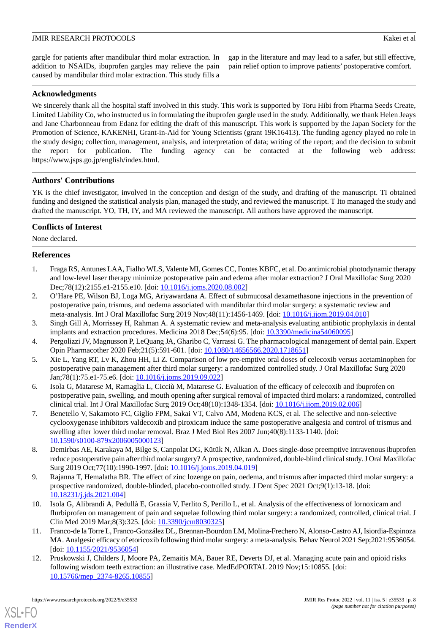gap in the literature and may lead to a safer, but still effective, pain relief option to improve patients' postoperative comfort.

## **Acknowledgments**

We sincerely thank all the hospital staff involved in this study. This work is supported by Toru Hibi from Pharma Seeds Create, Limited Liability Co, who instructed us in formulating the ibuprofen gargle used in the study. Additionally, we thank Helen Jeays and Jane Charbonneau from Edanz for editing the draft of this manuscript. This work is supported by the Japan Society for the Promotion of Science, KAKENHI, Grant-in-Aid for Young Scientists (grant 19K16413). The funding agency played no role in the study design; collection, management, analysis, and interpretation of data; writing of the report; and the decision to submit the report for publication. The funding agency can be contacted at the following web address: https://www.jsps.go.jp/english/index.html.

## **Authors' Contributions**

YK is the chief investigator, involved in the conception and design of the study, and drafting of the manuscript. TI obtained funding and designed the statistical analysis plan, managed the study, and reviewed the manuscript. T Ito managed the study and drafted the manuscript. YO, TH, IY, and MA reviewed the manuscript. All authors have approved the manuscript.

## **Conflicts of Interest**

<span id="page-7-0"></span>None declared.

## **References**

- <span id="page-7-1"></span>1. Fraga RS, Antunes LAA, Fialho WLS, Valente MI, Gomes CC, Fontes KBFC, et al. Do antimicrobial photodynamic therapy and low-level laser therapy minimize postoperative pain and edema after molar extraction? J Oral Maxillofac Surg 2020 Dec;78(12):2155.e1-2155.e10. [doi: [10.1016/j.joms.2020.08.002\]](http://dx.doi.org/10.1016/j.joms.2020.08.002)
- <span id="page-7-3"></span><span id="page-7-2"></span>2. O'Hare PE, Wilson BJ, Loga MG, Ariyawardana A. Effect of submucosal dexamethasone injections in the prevention of postoperative pain, trismus, and oedema associated with mandibular third molar surgery: a systematic review and meta-analysis. Int J Oral Maxillofac Surg 2019 Nov;48(11):1456-1469. [doi: [10.1016/j.ijom.2019.04.010](http://dx.doi.org/10.1016/j.ijom.2019.04.010)]
- <span id="page-7-4"></span>3. Singh Gill A, Morrissey H, Rahman A. A systematic review and meta-analysis evaluating antibiotic prophylaxis in dental implants and extraction procedures. Medicina 2018 Dec;54(6):95. [doi: [10.3390/medicina54060095](http://dx.doi.org/10.3390/medicina54060095)]
- <span id="page-7-5"></span>4. Pergolizzi JV, Magnusson P, LeQuang JA, Gharibo C, Varrassi G. The pharmacological management of dental pain. Expert Opin Pharmacother 2020 Feb;21(5):591-601. [doi: [10.1080/14656566.2020.1718651\]](http://dx.doi.org/10.1080/14656566.2020.1718651)
- 5. Xie L, Yang RT, Lv K, Zhou HH, Li Z. Comparison of low pre-emptive oral doses of celecoxib versus acetaminophen for postoperative pain management after third molar surgery: a randomized controlled study. J Oral Maxillofac Surg 2020 Jan;78(1):75.e1-75.e6. [doi: [10.1016/j.joms.2019.09.022](http://dx.doi.org/10.1016/j.joms.2019.09.022)]
- <span id="page-7-6"></span>6. Isola G, Matarese M, Ramaglia L, Cicciù M, Matarese G. Evaluation of the efficacy of celecoxib and ibuprofen on postoperative pain, swelling, and mouth opening after surgical removal of impacted third molars: a randomized, controlled clinical trial. Int J Oral Maxillofac Surg 2019 Oct;48(10):1348-1354. [doi: [10.1016/j.ijom.2019.02.006\]](http://dx.doi.org/10.1016/j.ijom.2019.02.006)
- <span id="page-7-8"></span><span id="page-7-7"></span>7. Benetello V, Sakamoto FC, Giglio FPM, Sakai VT, Calvo AM, Modena KCS, et al. The selective and non-selective cyclooxygenase inhibitors valdecoxib and piroxicam induce the same postoperative analgesia and control of trismus and swelling after lower third molar removal. Braz J Med Biol Res 2007 Jun;40(8):1133-1140. [doi: [10.1590/s0100-879x2006005000123](http://dx.doi.org/10.1590/s0100-879x2006005000123)]
- <span id="page-7-9"></span>8. Demirbas AE, Karakaya M, Bilge S, Canpolat DG, Kütük N, Alkan A. Does single-dose preemptive intravenous ibuprofen reduce postoperative pain after third molar surgery? A prospective, randomized, double-blind clinical study. J Oral Maxillofac Surg 2019 Oct;77(10):1990-1997. [doi: [10.1016/j.joms.2019.04.019](http://dx.doi.org/10.1016/j.joms.2019.04.019)]
- <span id="page-7-10"></span>9. Rajanna T, Hemalatha BR. The effect of zinc lozenge on pain, oedema, and trismus after impacted third molar surgery: a prospective randomized, double-blinded, placebo-controlled study. J Dent Spec 2021 Oct;9(1):13-18. [doi: [10.18231/j.jds.2021.004\]](http://dx.doi.org/10.18231/j.jds.2021.004)
- <span id="page-7-11"></span>10. Isola G, Alibrandi A, Pedullà E, Grassia V, Ferlito S, Perillo L, et al. Analysis of the effectiveness of lornoxicam and flurbiprofen on management of pain and sequelae following third molar surgery: a randomized, controlled, clinical trial. J Clin Med 2019 Mar;8(3):325. [doi: [10.3390/jcm8030325](http://dx.doi.org/10.3390/jcm8030325)]
- 11. Franco-de la Torre L, Franco-González DL, Brennan-Bourdon LM, Molina-Frechero N, Alonso-Castro AJ, Isiordia-Espinoza MA. Analgesic efficacy of etoricoxib following third molar surgery: a meta-analysis. Behav Neurol 2021 Sep;2021:9536054. [doi: [10.1155/2021/9536054\]](http://dx.doi.org/10.1155/2021/9536054)
- 12. Pruskowski J, Childers J, Moore PA, Zemaitis MA, Bauer RE, Deverts DJ, et al. Managing acute pain and opioid risks following wisdom teeth extraction: an illustrative case. MedEdPORTAL 2019 Nov;15:10855. [doi: [10.15766/mep\\_2374-8265.10855\]](http://dx.doi.org/10.15766/mep_2374-8265.10855)

[XSL](http://www.w3.org/Style/XSL)•FO **[RenderX](http://www.renderx.com/)**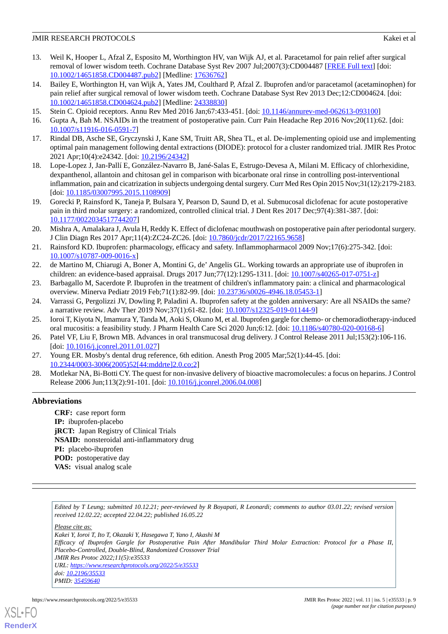- <span id="page-8-0"></span>13. Weil K, Hooper L, Afzal Z, Esposito M, Worthington HV, van Wijk AJ, et al. Paracetamol for pain relief after surgical removal of lower wisdom teeth. Cochrane Database Syst Rev 2007 Jul;2007(3):CD004487 [\[FREE Full text](http://europepmc.org/abstract/MED/17636762)] [doi: [10.1002/14651858.CD004487.pub2\]](http://dx.doi.org/10.1002/14651858.CD004487.pub2) [Medline: [17636762](http://www.ncbi.nlm.nih.gov/entrez/query.fcgi?cmd=Retrieve&db=PubMed&list_uids=17636762&dopt=Abstract)]
- <span id="page-8-1"></span>14. Bailey E, Worthington H, van Wijk A, Yates JM, Coulthard P, Afzal Z. Ibuprofen and/or paracetamol (acetaminophen) for pain relief after surgical removal of lower wisdom teeth. Cochrane Database Syst Rev 2013 Dec;12:CD004624. [doi: [10.1002/14651858.CD004624.pub2\]](http://dx.doi.org/10.1002/14651858.CD004624.pub2) [Medline: [24338830](http://www.ncbi.nlm.nih.gov/entrez/query.fcgi?cmd=Retrieve&db=PubMed&list_uids=24338830&dopt=Abstract)]
- <span id="page-8-3"></span><span id="page-8-2"></span>15. Stein C. Opioid receptors. Annu Rev Med 2016 Jan;67:433-451. [doi: [10.1146/annurev-med-062613-093100\]](http://dx.doi.org/10.1146/annurev-med-062613-093100)
- <span id="page-8-4"></span>16. Gupta A, Bah M. NSAIDs in the treatment of postoperative pain. Curr Pain Headache Rep 2016 Nov;20(11):62. [doi: [10.1007/s11916-016-0591-7\]](http://dx.doi.org/10.1007/s11916-016-0591-7)
- <span id="page-8-5"></span>17. Rindal DB, Asche SE, Gryczynski J, Kane SM, Truitt AR, Shea TL, et al. De-implementing opioid use and implementing optimal pain management following dental extractions (DIODE): protocol for a cluster randomized trial. JMIR Res Protoc 2021 Apr;10(4):e24342. [doi: [10.2196/24342\]](http://dx.doi.org/10.2196/24342)
- <span id="page-8-6"></span>18. Lope-Lopez J, Jan-Pallí E, González-Navarro B, Jané-Salas E, Estrugo-Devesa A, Milani M. Efficacy of chlorhexidine, dexpanthenol, allantoin and chitosan gel in comparison with bicarbonate oral rinse in controlling post-interventional inflammation, pain and cicatrization in subjects undergoing dental surgery. Curr Med Res Opin 2015 Nov;31(12):2179-2183. [doi: [10.1185/03007995.2015.1108909](http://dx.doi.org/10.1185/03007995.2015.1108909)]
- <span id="page-8-7"></span>19. Gorecki P, Rainsford K, Taneja P, Bulsara Y, Pearson D, Saund D, et al. Submucosal diclofenac for acute postoperative pain in third molar surgery: a randomized, controlled clinical trial. J Dent Res 2017 Dec;97(4):381-387. [doi: [10.1177/0022034517744207\]](http://dx.doi.org/10.1177/0022034517744207)
- <span id="page-8-8"></span>20. Mishra A, Amalakara J, Avula H, Reddy K. Effect of diclofenac mouthwash on postoperative pain after periodontal surgery. J Clin Diagn Res 2017 Apr;11(4):ZC24-ZC26. [doi: [10.7860/jcdr/2017/22165.9658\]](http://dx.doi.org/10.7860/jcdr/2017/22165.9658)
- <span id="page-8-9"></span>21. Rainsford KD. Ibuprofen: pharmacology, efficacy and safety. Inflammopharmacol 2009 Nov;17(6):275-342. [doi: [10.1007/s10787-009-0016-x\]](http://dx.doi.org/10.1007/s10787-009-0016-x)
- <span id="page-8-10"></span>22. de Martino M, Chiarugi A, Boner A, Montini G, de' Angelis GL. Working towards an appropriate use of ibuprofen in children: an evidence-based appraisal. Drugs 2017 Jun;77(12):1295-1311. [doi: [10.1007/s40265-017-0751-z](http://dx.doi.org/10.1007/s40265-017-0751-z)]
- <span id="page-8-11"></span>23. Barbagallo M, Sacerdote P. Ibuprofen in the treatment of children's inflammatory pain: a clinical and pharmacological overview. Minerva Pediatr 2019 Feb;71(1):82-99. [doi: [10.23736/s0026-4946.18.05453-1\]](http://dx.doi.org/10.23736/s0026-4946.18.05453-1)
- <span id="page-8-12"></span>24. Varrassi G, Pergolizzi JV, Dowling P, Paladini A. Ibuprofen safety at the golden anniversary: Are all NSAIDs the same? a narrative review. Adv Ther 2019 Nov;37(1):61-82. [doi: [10.1007/s12325-019-01144-9\]](http://dx.doi.org/10.1007/s12325-019-01144-9)
- <span id="page-8-13"></span>25. Ioroi T, Kiyota N, Imamura Y, Tanda M, Aoki S, Okuno M, et al. Ibuprofen gargle for chemo- or chemoradiotherapy-induced oral mucositis: a feasibility study. J Pharm Health Care Sci 2020 Jun;6:12. [doi: [10.1186/s40780-020-00168-6\]](http://dx.doi.org/10.1186/s40780-020-00168-6)
- <span id="page-8-14"></span>26. Patel VF, Liu F, Brown MB. Advances in oral transmucosal drug delivery. J Control Release 2011 Jul;153(2):106-116. [doi: 10.1016/*j.jconrel.2011.01.027]*
- 27. Young ER. Mosby's dental drug reference, 6th edition. Anesth Prog 2005 Mar;52(1):44-45. [doi: [10.2344/0003-3006\(2005\)52\[44:mddrte\]2.0.co;2\]](http://dx.doi.org/10.2344/0003-3006(2005)52[44:mddrte]2.0.co;2)
- 28. Motlekar NA, Bi-Botti CY. The quest for non-invasive delivery of bioactive macromolecules: a focus on heparins. J Control Release 2006 Jun;113(2):91-101. [doi: [10.1016/j.jconrel.2006.04.008](http://dx.doi.org/10.1016/j.jconrel.2006.04.008)]

## **Abbreviations**

**CRF:** case report form **IP:** ibuprofen-placebo **jRCT:** Japan Registry of Clinical Trials **NSAID:** nonsteroidal anti-inflammatory drug **PI:** placebo-ibuprofen **POD:** postoperative day **VAS:** visual analog scale

*Edited by T Leung; submitted 10.12.21; peer-reviewed by R Boyapati, R Leonardi; comments to author 03.01.22; revised version received 12.02.22; accepted 22.04.22; published 16.05.22*

*Please cite as:*

*Kakei Y, Ioroi T, Ito T, Okazaki Y, Hasegawa T, Yano I, Akashi M Efficacy of Ibuprofen Gargle for Postoperative Pain After Mandibular Third Molar Extraction: Protocol for a Phase II, Placebo-Controlled, Double-Blind, Randomized Crossover Trial JMIR Res Protoc 2022;11(5):e35533 URL: <https://www.researchprotocols.org/2022/5/e35533> doi: [10.2196/35533](http://dx.doi.org/10.2196/35533)*

*PMID: [35459640](http://www.ncbi.nlm.nih.gov/entrez/query.fcgi?cmd=Retrieve&db=PubMed&list_uids=35459640&dopt=Abstract)*



**[RenderX](http://www.renderx.com/)**